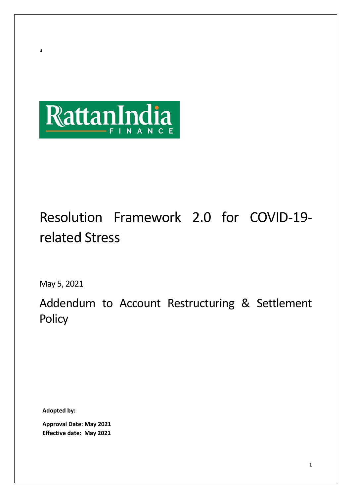

# Resolution Framework 2.0 for COVID-19 related Stress

May 5, 2021

a

Addendum to Account Restructuring & Settlement **Policy** 

**Adopted by:** 

**Approval Date: May 2021 Effective date: May 2021**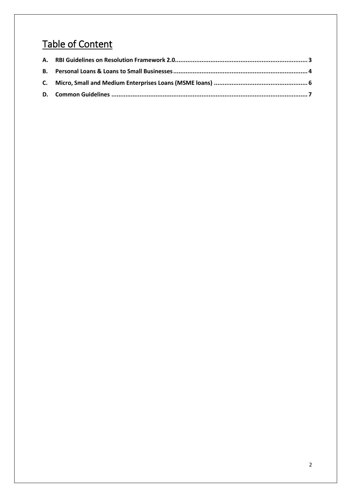## Table of Content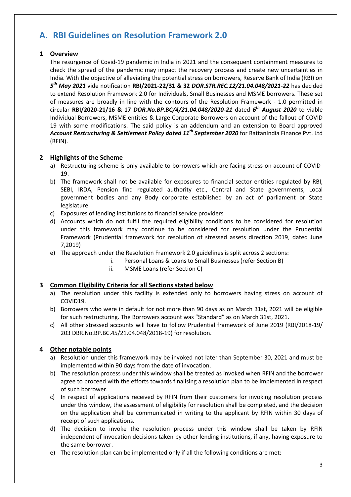## <span id="page-2-0"></span>**A. RBI Guidelines on Resolution Framework 2.0**

#### **1 Overview**

The resurgence of Covid-19 pandemic in India in 2021 and the consequent containment measures to check the spread of the pandemic may impact the recovery process and create new uncertainties in India. With the objective of alleviating the potential stress on borrowers, Reserve Bank of India (RBI) on *5 th May 2021* vide notification **RBI/2021-22/31 & 32** *DOR.STR.REC.12/21.04.048/2021-22* has decided to extend Resolution Framework 2.0 for Individuals, Small Businesses and MSME borrowers. These set of measures are broadly in line with the contours of the Resolution Framework - 1.0 permitted in circular **RBI/2020-21/16 & 17** *DOR.No.BP.BC/4/21.04.048/2020-21* dated *6 th August 2020* to viable Individual Borrowers, MSME entities & Large Corporate Borrowers on account of the fallout of COVID 19 with some modifications. The said policy is an addendum and an extension to Board approved *Account Restructuring & Settlement Policy dated 11th September 2020* for RattanIndia Finance Pvt. Ltd (RFIN).

#### **2 Highlights of the Scheme**

- a) Restructuring scheme is only available to borrowers which are facing stress on account of COVID-19.
- b) The framework shall not be available for exposures to financial sector entities regulated by RBI, SEBI, IRDA, Pension find regulated authority etc., Central and State governments, Local government bodies and any Body corporate established by an act of parliament or State legislature.
- c) Exposures of lending institutions to financial service providers
- d) Accounts which do not fulfil the required eligibility conditions to be considered for resolution under this framework may continue to be considered for resolution under the Prudential Framework (Prudential framework for resolution of stressed assets direction 2019, dated June 7,2019)
- e) The approach under the Resolution Framework 2.0 guidelines is split across 2 sections:
	- i. Personal Loans & Loans to Small Businesses (refer Section B)
	- ii. MSME Loans (refer Section C)

#### **3 Common Eligibility Criteria for all Sections stated below**

- a) The resolution under this facility is extended only to borrowers having stress on account of COVID19.
- b) Borrowers who were in default for not more than 90 days as on March 31st, 2021 will be eligible for such restructuring. The Borrowers account was "Standard" as on March 31st, 2021.
- c) All other stressed accounts will have to follow Prudential framework of June 2019 (RBI/2018-19/ 203 DBR.No.BP.BC.45/21.04.048/2018-19) for resolution.

#### **4 Other notable points**

- a) Resolution under this framework may be invoked not later than September 30, 2021 and must be implemented within 90 days from the date of invocation.
- b) The resolution process under this window shall be treated as invoked when RFIN and the borrower agree to proceed with the efforts towards finalising a resolution plan to be implemented in respect of such borrower.
- c) In respect of applications received by RFIN from their customers for invoking resolution process under this window, the assessment of eligibility for resolution shall be completed, and the decision on the application shall be communicated in writing to the applicant by RFIN within 30 days of receipt of such applications.
- d) The decision to invoke the resolution process under this window shall be taken by RFIN independent of invocation decisions taken by other lending institutions, if any, having exposure to the same borrower.
- e) The resolution plan can be implemented only if all the following conditions are met: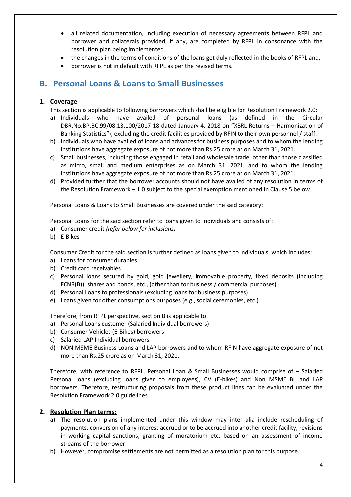- all related documentation, including execution of necessary agreements between RFPL and borrower and collaterals provided, if any, are completed by RFPL in consonance with the resolution plan being implemented.
- the changes in the terms of conditions of the loans get duly reflected in the books of RFPL and,
- borrower is not in default with RFPL as per the revised terms.

## <span id="page-3-0"></span>**B. Personal Loans & Loans to Small Businesses**

#### **1. Coverage**

This section is applicable to following borrowers which shall be eligible for Resolution Framework 2.0:

- a) Individuals who have availed of personal loans (as defined in the Circular DBR.No.BP.BC.99/08.13.100/2017-18 dated January 4, 2018 on "XBRL Returns – Harmonization of Banking Statistics"), excluding the credit facilities provided by RFIN to their own personnel / staff.
- b) Individuals who have availed of loans and advances for business purposes and to whom the lending institutions have aggregate exposure of not more than Rs.25 crore as on March 31, 2021.
- c) Small businesses, including those engaged in retail and wholesale trade, other than those classified as micro, small and medium enterprises as on March 31, 2021, and to whom the lending institutions have aggregate exposure of not more than Rs.25 crore as on March 31, 2021.
- d) Provided further that the borrower accounts should not have availed of any resolution in terms of the Resolution Framework – 1.0 subject to the special exemption mentioned in Clause 5 below.

Personal Loans & Loans to Small Businesses are covered under the said category:

Personal Loans for the said section refer to loans given to Individuals and consists of:

- a) Consumer credit *(refer below for inclusions)*
- b) E-Bikes

Consumer Credit for the said section is further defined as loans given to individuals, which includes:

- a) Loans for consumer durables
- b) Credit card receivables
- c) Personal loans secured by gold, gold jewellery, immovable property, fixed deposits (including FCNR(B)), shares and bonds, etc., (other than for business / commercial purposes)
- d) Personal Loans to professionals (excluding loans for business purposes)
- e) Loans given for other consumptions purposes (e.g., social ceremonies, etc.)

Therefore, from RFPL perspective, section B is applicable to

- a) Personal Loans customer (Salaried Individual borrowers)
- b) Consumer Vehicles (E-Bikes) borrowers
- c) Salaried LAP Individual borrowers
- d) NON MSME Business Loans and LAP borrowers and to whom RFIN have aggregate exposure of not more than Rs.25 crore as on March 31, 2021.

Therefore, with reference to RFPL, Personal Loan & Small Businesses would comprise of – Salaried Personal loans (excluding loans given to employees), CV (E-bikes) and Non MSME BL and LAP borrowers. Therefore, restructuring proposals from these product lines can be evaluated under the Resolution Framework 2.0 guidelines.

#### **2. Resolution Plan terms:**

- a) The resolution plans implemented under this window may inter alia include rescheduling of payments, conversion of any interest accrued or to be accrued into another credit facility, revisions in working capital sanctions, granting of moratorium etc. based on an assessment of income streams of the borrower.
- b) However, compromise settlements are not permitted as a resolution plan for this purpose.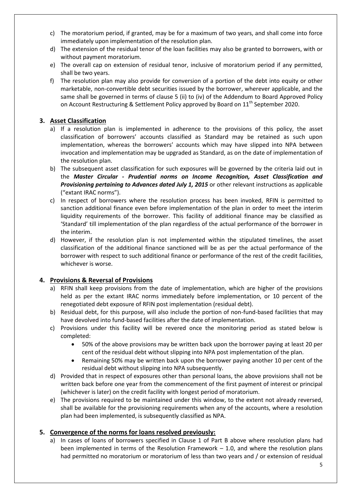- c) The moratorium period, if granted, may be for a maximum of two years, and shall come into force immediately upon implementation of the resolution plan.
- d) The extension of the residual tenor of the loan facilities may also be granted to borrowers, with or without payment moratorium.
- e) The overall cap on extension of residual tenor, inclusive of moratorium period if any permitted, shall be two years.
- f) The resolution plan may also provide for conversion of a portion of the debt into equity or other marketable, non-convertible debt securities issued by the borrower, wherever applicable, and the same shall be governed in terms of clause 5 (ii) to (iv) of the Addendum to Board Approved Policy on Account Restructuring & Settlement Policy approved by Board on  $11<sup>th</sup>$  September 2020.

#### **3. Asset Classification**

- a) If a resolution plan is implemented in adherence to the provisions of this policy, the asset classification of borrowers' accounts classified as Standard may be retained as such upon implementation, whereas the borrowers' accounts which may have slipped into NPA between invocation and implementation may be upgraded as Standard, as on the date of implementation of the resolution plan.
- b) The subsequent asset classification for such exposures will be governed by the criteria laid out in the *Master Circular - Prudential norms on Income Recognition, Asset Classification and Provisioning pertaining to Advances dated July 1, 2015* or other relevant instructions as applicable ("extant IRAC norms").
- c) In respect of borrowers where the resolution process has been invoked, RFIN is permitted to sanction additional finance even before implementation of the plan in order to meet the interim liquidity requirements of the borrower. This facility of additional finance may be classified as 'Standard' till implementation of the plan regardless of the actual performance of the borrower in the interim.
- d) However, if the resolution plan is not implemented within the stipulated timelines, the asset classification of the additional finance sanctioned will be as per the actual performance of the borrower with respect to such additional finance or performance of the rest of the credit facilities, whichever is worse.

#### **4. Provisions & Reversal of Provisions**

- a) RFIN shall keep provisions from the date of implementation, which are higher of the provisions held as per the extant IRAC norms immediately before implementation, or 10 percent of the renegotiated debt exposure of RFIN post implementation (residual debt).
- b) Residual debt, for this purpose, will also include the portion of non-fund-based facilities that may have devolved into fund-based facilities after the date of implementation.
- c) Provisions under this facility will be revered once the monitoring period as stated below is completed:
	- 50% of the above provisions may be written back upon the borrower paying at least 20 per cent of the residual debt without slipping into NPA post implementation of the plan.
	- Remaining 50% may be written back upon the borrower paying another 10 per cent of the residual debt without slipping into NPA subsequently.
- d) Provided that in respect of exposures other than personal loans, the above provisions shall not be written back before one year from the commencement of the first payment of interest or principal (whichever is later) on the credit facility with longest period of moratorium.
- e) The provisions required to be maintained under this window, to the extent not already reversed, shall be available for the provisioning requirements when any of the accounts, where a resolution plan had been implemented, is subsequently classified as NPA.

#### **5. Convergence of the norms for loans resolved previously:**

a) In cases of loans of borrowers specified in Clause 1 of Part B above where resolution plans had been implemented in terms of the Resolution Framework – 1.0, and where the resolution plans had permitted no moratorium or moratorium of less than two years and / or extension of residual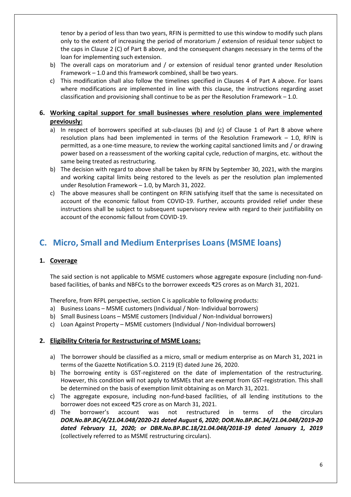tenor by a period of less than two years, RFIN is permitted to use this window to modify such plans only to the extent of increasing the period of moratorium / extension of residual tenor subject to the caps in Clause 2 (C) of Part B above, and the consequent changes necessary in the terms of the loan for implementing such extension.

- b) The overall caps on moratorium and / or extension of residual tenor granted under Resolution Framework – 1.0 and this framework combined, shall be two years.
- c) This modification shall also follow the timelines specified in Clauses 4 of Part A above. For loans where modifications are implemented in line with this clause, the instructions regarding asset classification and provisioning shall continue to be as per the Resolution Framework  $-1.0$ .

#### **6. Working capital support for small businesses where resolution plans were implemented previously:**

- a) In respect of borrowers specified at sub-clauses (b) and (c) of Clause 1 of Part B above where resolution plans had been implemented in terms of the Resolution Framework – 1.0, RFIN is permitted, as a one-time measure, to review the working capital sanctioned limits and / or drawing power based on a reassessment of the working capital cycle, reduction of margins, etc. without the same being treated as restructuring.
- b) The decision with regard to above shall be taken by RFIN by September 30, 2021, with the margins and working capital limits being restored to the levels as per the resolution plan implemented under Resolution Framework – 1.0, by March 31, 2022.
- c) The above measures shall be contingent on RFIN satisfying itself that the same is necessitated on account of the economic fallout from COVID-19. Further, accounts provided relief under these instructions shall be subject to subsequent supervisory review with regard to their justifiability on account of the economic fallout from COVID-19.

## <span id="page-5-0"></span>**C. Micro, Small and Medium Enterprises Loans (MSME loans)**

#### **1. Coverage**

The said section is not applicable to MSME customers whose aggregate exposure (including non-fundbased facilities, of banks and NBFCs to the borrower exceeds ₹25 crores as on March 31, 2021.

Therefore, from RFPL perspective, section C is applicable to following products:

- a) Business Loans MSME customers (Individual / Non- Individual borrowers)
- b) Small Business Loans MSME customers (Individual / Non-Individual borrowers)
- c) Loan Against Property MSME customers (Individual / Non-Individual borrowers)

#### **2. Eligibility Criteria for Restructuring of MSME Loans:**

- a) The borrower should be classified as a micro, small or medium enterprise as on March 31, 2021 in terms of the Gazette Notification S.O. 2119 (E) dated June 26, 2020.
- b) The borrowing entity is GST-registered on the date of implementation of the restructuring. However, this condition will not apply to MSMEs that are exempt from GST-registration. This shall be determined on the basis of exemption limit obtaining as on March 31, 2021.
- c) The aggregate exposure, including non-fund-based facilities, of all lending institutions to the borrower does not exceed ₹25 crore as on March 31, 2021.
- d) The borrower's account was not restructured in terms of the circulars *DOR.No.BP.BC/4/21.04.048/2020-21 dated August 6, 2020*; *DOR.No.BP.BC.34/21.04.048/2019-20 dated February 11, 2020; or DBR.No.BP.BC.18/21.04.048/2018-19 dated January 1, 2019*  (collectively referred to as MSME restructuring circulars).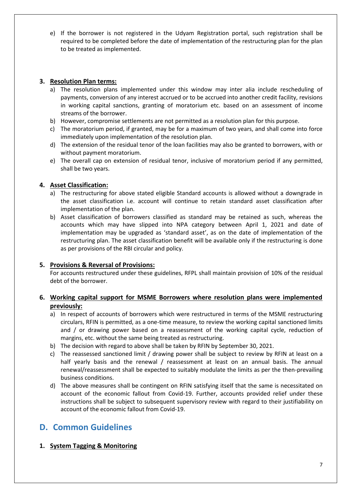e) If the borrower is not registered in the Udyam Registration portal, such registration shall be required to be completed before the date of implementation of the restructuring plan for the plan to be treated as implemented.

#### **3. Resolution Plan terms:**

- a) The resolution plans implemented under this window may inter alia include rescheduling of payments, conversion of any interest accrued or to be accrued into another credit facility, revisions in working capital sanctions, granting of moratorium etc. based on an assessment of income streams of the borrower.
- b) However, compromise settlements are not permitted as a resolution plan for this purpose.
- c) The moratorium period, if granted, may be for a maximum of two years, and shall come into force immediately upon implementation of the resolution plan.
- d) The extension of the residual tenor of the loan facilities may also be granted to borrowers, with or without payment moratorium.
- e) The overall cap on extension of residual tenor, inclusive of moratorium period if any permitted, shall be two years.

#### **4. Asset Classification:**

- a) The restructuring for above stated eligible Standard accounts is allowed without a downgrade in the asset classification i.e. account will continue to retain standard asset classification after implementation of the plan.
- b) Asset classification of borrowers classified as standard may be retained as such, whereas the accounts which may have slipped into NPA category between April 1, 2021 and date of implementation may be upgraded as 'standard asset', as on the date of implementation of the restructuring plan. The asset classification benefit will be available only if the restructuring is done as per provisions of the RBI circular and policy.

#### **5. Provisions & Reversal of Provisions:**

For accounts restructured under these guidelines, RFPL shall maintain provision of 10% of the residual debt of the borrower.

#### **6. Working capital support for MSME Borrowers where resolution plans were implemented previously:**

- a) In respect of accounts of borrowers which were restructured in terms of the MSME restructuring circulars, RFIN is permitted, as a one-time measure, to review the working capital sanctioned limits and / or drawing power based on a reassessment of the working capital cycle, reduction of margins, etc. without the same being treated as restructuring.
- b) The decision with regard to above shall be taken by RFIN by September 30, 2021.
- c) The reassessed sanctioned limit / drawing power shall be subject to review by RFIN at least on a half yearly basis and the renewal / reassessment at least on an annual basis. The annual renewal/reassessment shall be expected to suitably modulate the limits as per the then-prevailing business conditions.
- d) The above measures shall be contingent on RFIN satisfying itself that the same is necessitated on account of the economic fallout from Covid-19. Further, accounts provided relief under these instructions shall be subject to subsequent supervisory review with regard to their justifiability on account of the economic fallout from Covid-19.

### <span id="page-6-0"></span>**D. Common Guidelines**

#### **1. System Tagging & Monitoring**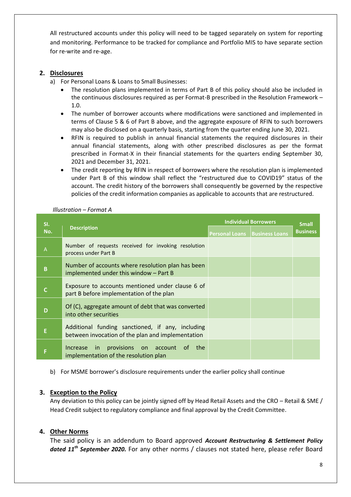All restructured accounts under this policy will need to be tagged separately on system for reporting and monitoring. Performance to be tracked for compliance and Portfolio MIS to have separate section for re-write and re-age.

#### **2. Disclosures**

- a) For Personal Loans & Loans to Small Businesses:
	- The resolution plans implemented in terms of Part B of this policy should also be included in the continuous disclosures required as per Format-B prescribed in the Resolution Framework – 1.0.
	- The number of borrower accounts where modifications were sanctioned and implemented in terms of Clause 5 & 6 of Part B above, and the aggregate exposure of RFIN to such borrowers may also be disclosed on a quarterly basis, starting from the quarter ending June 30, 2021.
	- RFIN is required to publish in annual financial statements the required disclosures in their annual financial statements, along with other prescribed disclosures as per the format prescribed in Format-X in their financial statements for the quarters ending September 30, 2021 and December 31, 2021.
	- The credit reporting by RFIN in respect of borrowers where the resolution plan is implemented under Part B of this window shall reflect the "restructured due to COVID19" status of the account. The credit history of the borrowers shall consequently be governed by the respective policies of the credit information companies as applicable to accounts that are restructured.

| SI.<br>No.   | <b>Description</b>                                                                                    | <b>Individual Borrowers</b><br><b>Personal Loans Business Loans</b> | <b>Small</b><br><b>Business</b> |
|--------------|-------------------------------------------------------------------------------------------------------|---------------------------------------------------------------------|---------------------------------|
| $\mathsf A$  | Number of requests received for invoking resolution<br>process under Part B                           |                                                                     |                                 |
| $\pmb B$     | Number of accounts where resolution plan has been<br>implemented under this window - Part B           |                                                                     |                                 |
| $\mathsf{C}$ | Exposure to accounts mentioned under clause 6 of<br>part B before implementation of the plan          |                                                                     |                                 |
| D            | Of (C), aggregate amount of debt that was converted<br>into other securities                          |                                                                     |                                 |
| E            | Additional funding sanctioned, if any, including<br>between invocation of the plan and implementation |                                                                     |                                 |
| F            | Increase in provisions on account of<br>the<br>implementation of the resolution plan                  |                                                                     |                                 |

#### *Illustration – Format A*

b) For MSME borrower's disclosure requirements under the earlier policy shall continue

#### **3. Exception to the Policy**

Any deviation to this policy can be jointly signed off by Head Retail Assets and the CRO – Retail & SME / Head Credit subject to regulatory compliance and final approval by the Credit Committee.

#### **4. Other Norms**

The said policy is an addendum to Board approved *Account Restructuring & Settlement Policy dated 11th September 2020.* For any other norms / clauses not stated here, please refer Board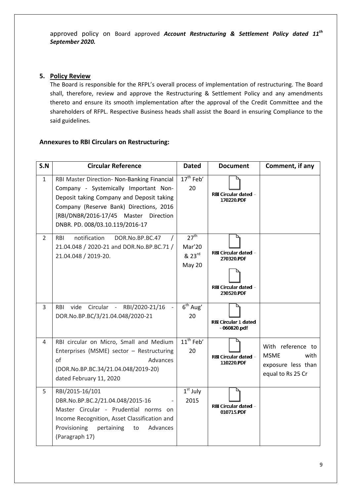approved policy on Board approved *Account Restructuring & Settlement Policy dated 11th September 2020.* 

#### **5. Policy Review**

The Board is responsible for the RFPL's overall process of implementation of restructuring. The Board shall, therefore, review and approve the Restructuring & Settlement Policy and any amendments thereto and ensure its smooth implementation after the approval of the Credit Committee and the shareholders of RFPL. Respective Business heads shall assist the Board in ensuring Compliance to the said guidelines.

#### **Annexures to RBI Circulars on Restructuring:**

| S.N            | <b>Circular Reference</b>                                                                                                                                                                                                                                | <b>Dated</b>                                              | <b>Document</b>                                                          | Comment, if any                                                                     |
|----------------|----------------------------------------------------------------------------------------------------------------------------------------------------------------------------------------------------------------------------------------------------------|-----------------------------------------------------------|--------------------------------------------------------------------------|-------------------------------------------------------------------------------------|
| $\mathbf{1}$   | RBI Master Direction- Non-Banking Financial<br>Company - Systemically Important Non-<br>Deposit taking Company and Deposit taking<br>Company (Reserve Bank) Directions, 2016<br>[RBI/DNBR/2016-17/45 Master Direction<br>DNBR. PD. 008/03.10.119/2016-17 | $17th$ Feb'<br>20                                         | RBI Circular dated -<br>170220.PDF                                       |                                                                                     |
| $\overline{2}$ | notification<br>DOR.No.BP.BC.47<br><b>RBI</b><br>21.04.048 / 2020-21 and DOR.No.BP.BC.71 /<br>21.04.048 / 2019-20.                                                                                                                                       | 27 <sup>th</sup><br>Mar'20<br>823 <sup>rd</sup><br>May 20 | RBI Circular dated -<br>270320.PDF<br>RBI Circular dated -<br>230520.PDF |                                                                                     |
| $\overline{3}$ | vide Circular - RBI/2020-21/16<br><b>RBI</b><br>$\mathbf{r}$<br>DOR.No.BP.BC/3/21.04.048/2020-21                                                                                                                                                         | $\overline{6^{th}}$ Aug'<br>20                            | <b>RBI Circular 1 dated</b><br>$-060820.pdf$                             |                                                                                     |
| 4              | RBI circular on Micro, Small and Medium<br>Enterprises (MSME) sector - Restructuring<br>of<br>Advances<br>(DOR.No.BP.BC.34/21.04.048/2019-20)<br>dated February 11, 2020                                                                                 | 11 <sup>th</sup> Feb'<br>20                               | RBI Circular dated -<br>110220.PDF                                       | With reference to<br><b>MSME</b><br>with<br>exposure less than<br>equal to Rs 25 Cr |
| 5              | RBI/2015-16/101<br>DBR.No.BP.BC.2/21.04.048/2015-16<br>Master Circular - Prudential norms on<br>Income Recognition, Asset Classification and<br>Provisioning<br>Advances<br>pertaining<br>to<br>(Paragraph 17)                                           | $1st$ July<br>2015                                        | RBI Circular dated -<br>010715.PDF                                       |                                                                                     |